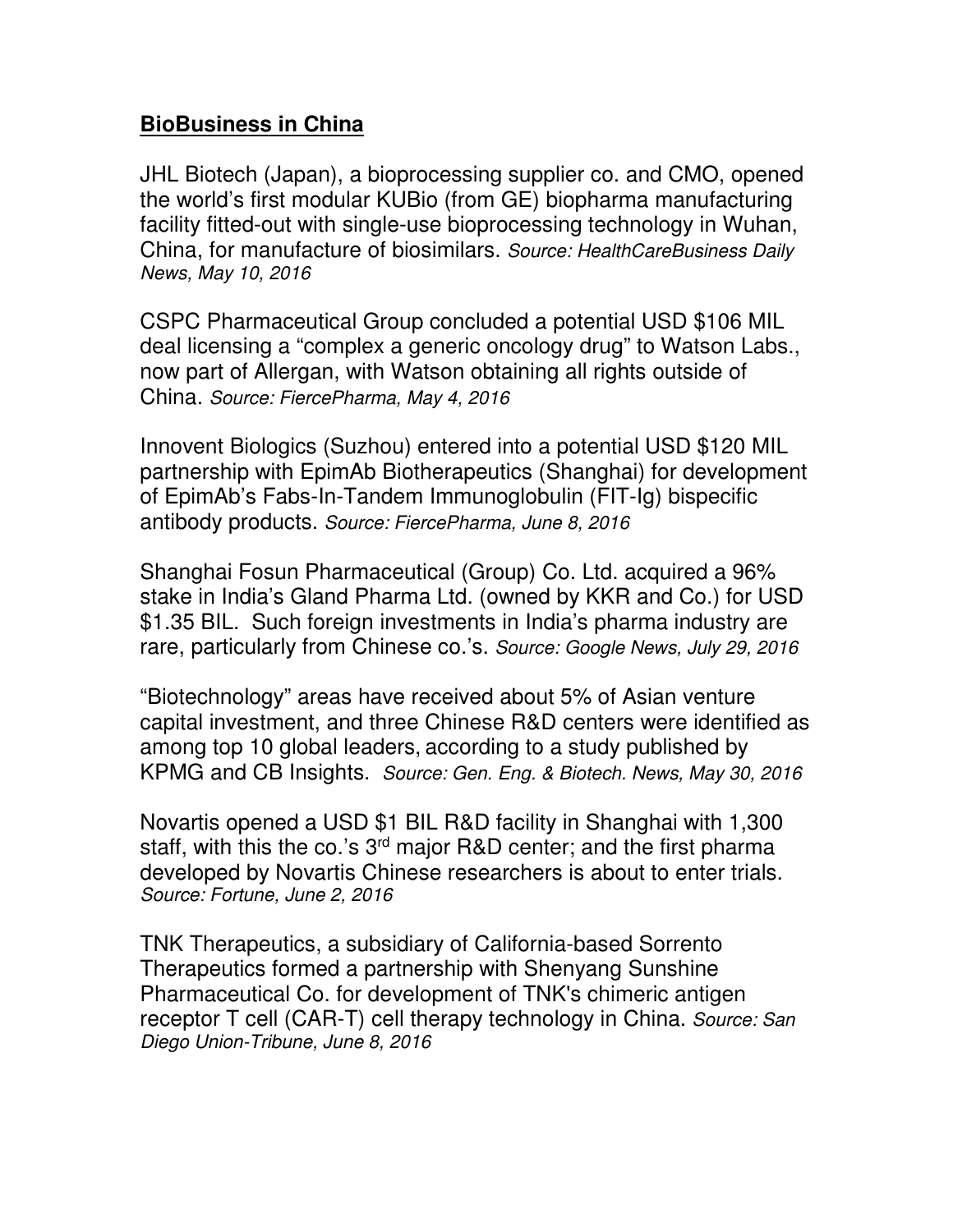## **BioBusiness in China**

JHL Biotech (Japan), a bioprocessing supplier co. and CMO, opened the world's first modular KUBio (from GE) biopharma manufacturing facility fitted-out with single-use bioprocessing technology in Wuhan, China, for manufacture of biosimilars. *Source: HealthCareBusiness Daily News, May 10, 2016*

CSPC Pharmaceutical Group concluded a potential USD \$106 MIL deal licensing a "complex a generic oncology drug" to Watson Labs., now part of Allergan, with Watson obtaining all rights outside of China. *Source: FiercePharma, May 4, 2016*

Innovent Biologics (Suzhou) entered into a potential USD \$120 MIL partnership with EpimAb Biotherapeutics (Shanghai) for development of EpimAb's Fabs-In-Tandem Immunoglobulin (FIT-Ig) bispecific antibody products. *Source: FiercePharma, June 8, 2016*

Shanghai Fosun Pharmaceutical (Group) Co. Ltd. acquired a 96% stake in India's Gland Pharma Ltd. (owned by KKR and Co.) for USD \$1.35 BIL. Such foreign investments in India's pharma industry are rare, particularly from Chinese co.'s. *Source: Google News, July 29, 2016*

"Biotechnology" areas have received about 5% of Asian venture capital investment, and three Chinese R&D centers were identified as among top 10 global leaders, according to a study published by KPMG and CB Insights. *Source: Gen. Eng. & Biotech. News, May 30, 2016* 

Novartis opened a USD \$1 BIL R&D facility in Shanghai with 1,300 staff, with this the co.'s 3<sup>rd</sup> major R&D center; and the first pharma developed by Novartis Chinese researchers is about to enter trials. *Source: Fortune, June 2, 2016*

TNK Therapeutics, a subsidiary of California-based Sorrento Therapeutics formed a partnership with Shenyang Sunshine Pharmaceutical Co. for development of TNK's chimeric antigen receptor T cell (CAR-T) cell therapy technology in China. *Source: San Diego Union-Tribune, June 8, 2016*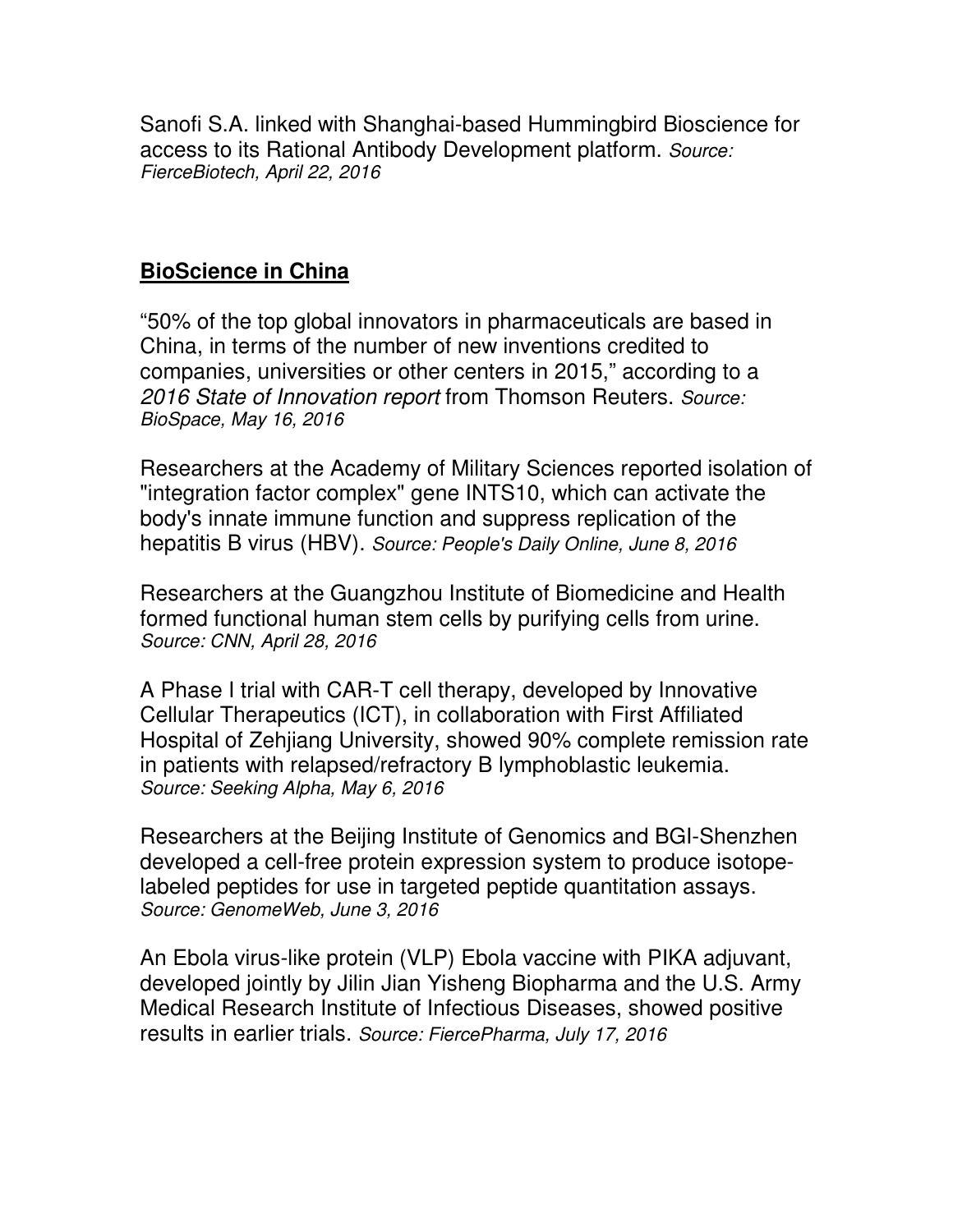Sanofi S.A. linked with Shanghai-based Hummingbird Bioscience for access to its Rational Antibody Development platform. *Source: FierceBiotech, April 22, 2016*

## **BioScience in China**

"50% of the top global innovators in pharmaceuticals are based in China, in terms of the number of new inventions credited to companies, universities or other centers in 2015," according to a *2016 State of Innovation report* from Thomson Reuters. *Source: BioSpace, May 16, 2016*

Researchers at the Academy of Military Sciences reported isolation of "integration factor complex" gene INTS10, which can activate the body's innate immune function and suppress replication of the hepatitis B virus (HBV). *Source: People's Daily Online, June 8, 2016*

Researchers at the Guangzhou Institute of Biomedicine and Health formed functional human stem cells by purifying cells from urine. *Source: CNN, April 28, 2016*

A Phase I trial with CAR-T cell therapy, developed by Innovative Cellular Therapeutics (ICT), in collaboration with First Affiliated Hospital of Zehjiang University, showed 90% complete remission rate in patients with relapsed/refractory B lymphoblastic leukemia. *Source: Seeking Alpha, May 6, 2016* 

Researchers at the Beijing Institute of Genomics and BGI-Shenzhen developed a cell-free protein expression system to produce isotopelabeled peptides for use in targeted peptide quantitation assays. *Source: GenomeWeb, June 3, 2016*

An Ebola virus-like protein (VLP) Ebola vaccine with PIKA adjuvant, developed jointly by Jilin Jian Yisheng Biopharma and the U.S. Army Medical Research Institute of Infectious Diseases, showed positive results in earlier trials. *Source: FiercePharma, July 17, 2016*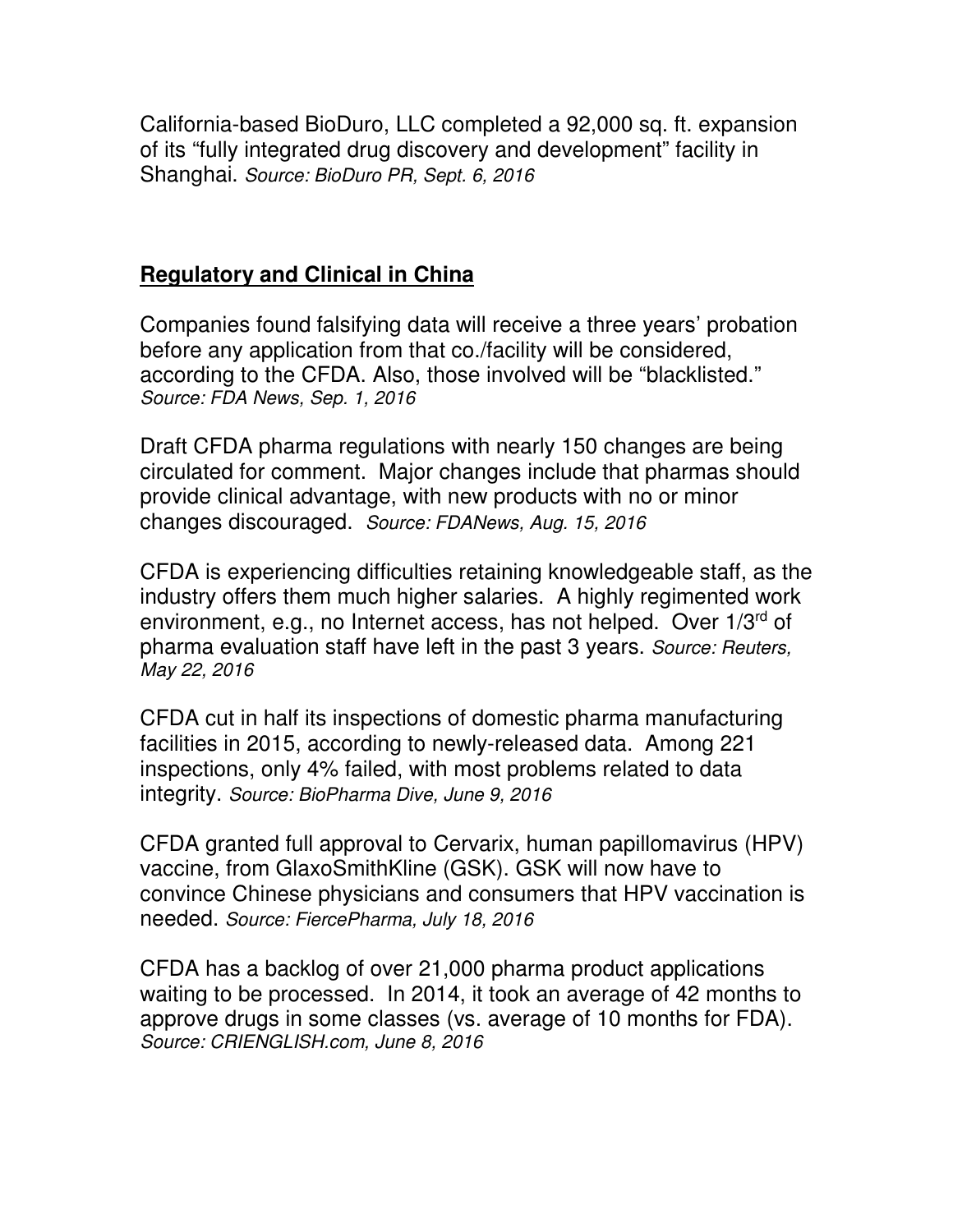California-based BioDuro, LLC completed a 92,000 sq. ft. expansion of its "fully integrated drug discovery and development" facility in Shanghai. *Source: BioDuro PR, Sept. 6, 2016* 

## **Regulatory and Clinical in China**

Companies found falsifying data will receive a three years' probation before any application from that co./facility will be considered, according to the CFDA. Also, those involved will be "blacklisted." *Source: FDA News, Sep. 1, 2016*

Draft CFDA pharma regulations with nearly 150 changes are being circulated for comment. Major changes include that pharmas should provide clinical advantage, with new products with no or minor changes discouraged. *Source: FDANews, Aug. 15, 2016*

CFDA is experiencing difficulties retaining knowledgeable staff, as the industry offers them much higher salaries. A highly regimented work environment, e.g., no Internet access, has not helped. Over 1/3<sup>rd</sup> of pharma evaluation staff have left in the past 3 years. *Source: Reuters, May 22, 2016*

CFDA cut in half its inspections of domestic pharma manufacturing facilities in 2015, according to newly-released data. Among 221 inspections, only 4% failed, with most problems related to data integrity. *Source: BioPharma Dive, June 9, 2016*

CFDA granted full approval to Cervarix, human papillomavirus (HPV) vaccine, from GlaxoSmithKline (GSK). GSK will now have to convince Chinese physicians and consumers that HPV vaccination is needed. *Source: FiercePharma, July 18, 2016*

CFDA has a backlog of over 21,000 pharma product applications waiting to be processed. In 2014, it took an average of 42 months to approve drugs in some classes (vs. average of 10 months for FDA). *Source: CRIENGLISH.com, June 8, 2016*